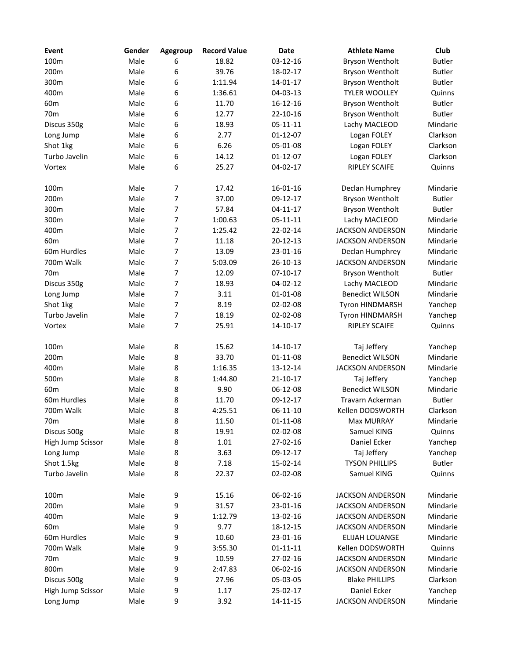| Event             | Gender | Agegroup         | <b>Record Value</b> | Date           | <b>Athlete Name</b>     | Club          |
|-------------------|--------|------------------|---------------------|----------------|-------------------------|---------------|
| 100m              | Male   | 6                | 18.82               | 03-12-16       | <b>Bryson Wentholt</b>  | <b>Butler</b> |
| 200m              | Male   | 6                | 39.76               | 18-02-17       | Bryson Wentholt         | <b>Butler</b> |
| 300m              | Male   | 6                | 1:11.94             | 14-01-17       | Bryson Wentholt         | <b>Butler</b> |
| 400m              | Male   | 6                | 1:36.61             | 04-03-13       | <b>TYLER WOOLLEY</b>    | Quinns        |
| 60 <sub>m</sub>   | Male   | 6                | 11.70               | $16 - 12 - 16$ | Bryson Wentholt         | <b>Butler</b> |
| 70 <sub>m</sub>   | Male   | 6                | 12.77               | 22-10-16       | Bryson Wentholt         | <b>Butler</b> |
| Discus 350g       | Male   | 6                | 18.93               | $05 - 11 - 11$ | Lachy MACLEOD           | Mindarie      |
| Long Jump         | Male   | 6                | 2.77                | $01 - 12 - 07$ | Logan FOLEY             | Clarkson      |
| Shot 1kg          | Male   | 6                | 6.26                | 05-01-08       | Logan FOLEY             | Clarkson      |
| Turbo Javelin     | Male   | 6                | 14.12               | $01-12-07$     | Logan FOLEY             | Clarkson      |
| Vortex            | Male   | 6                | 25.27               | 04-02-17       | <b>RIPLEY SCAIFE</b>    | Quinns        |
|                   |        |                  |                     |                |                         |               |
| 100m              | Male   | 7                | 17.42               | 16-01-16       | Declan Humphrey         | Mindarie      |
| 200m              | Male   | 7                | 37.00               | 09-12-17       | Bryson Wentholt         | <b>Butler</b> |
| 300m              | Male   | $\overline{7}$   | 57.84               | 04-11-17       | Bryson Wentholt         | <b>Butler</b> |
| 300m              | Male   | $\overline{7}$   | 1:00.63             | $05 - 11 - 11$ | Lachy MACLEOD           | Mindarie      |
| 400m              | Male   | $\overline{7}$   | 1:25.42             | 22-02-14       | <b>JACKSON ANDERSON</b> | Mindarie      |
| 60 <sub>m</sub>   | Male   | $\overline{7}$   | 11.18               | 20-12-13       | <b>JACKSON ANDERSON</b> | Mindarie      |
| 60m Hurdles       | Male   | $\overline{7}$   | 13.09               | 23-01-16       | Declan Humphrey         | Mindarie      |
| 700m Walk         | Male   | 7                | 5:03.09             | 26-10-13       | <b>JACKSON ANDERSON</b> | Mindarie      |
| 70 <sub>m</sub>   | Male   | 7                | 12.09               | $07-10-17$     | Bryson Wentholt         | <b>Butler</b> |
| Discus 350g       | Male   | 7                | 18.93               | 04-02-12       | Lachy MACLEOD           | Mindarie      |
| Long Jump         | Male   | $\overline{7}$   | 3.11                | 01-01-08       | <b>Benedict WILSON</b>  | Mindarie      |
| Shot 1kg          | Male   | $\overline{7}$   | 8.19                | 02-02-08       | Tyron HINDMARSH         | Yanchep       |
| Turbo Javelin     | Male   | $\boldsymbol{7}$ | 18.19               | 02-02-08       | Tyron HINDMARSH         | Yanchep       |
| Vortex            | Male   | $\overline{7}$   | 25.91               | $14 - 10 - 17$ | <b>RIPLEY SCAIFE</b>    | Quinns        |
|                   |        |                  |                     |                |                         |               |
| 100m              | Male   | 8                | 15.62               | 14-10-17       | Taj Jeffery             | Yanchep       |
| 200m              | Male   | 8                | 33.70               | 01-11-08       | <b>Benedict WILSON</b>  | Mindarie      |
| 400m              | Male   | 8                | 1:16.35             | 13-12-14       | <b>JACKSON ANDERSON</b> | Mindarie      |
| 500m              | Male   | 8                | 1:44.80             | $21 - 10 - 17$ | Taj Jeffery             | Yanchep       |
| 60 <sub>m</sub>   | Male   | 8                | 9.90                | 06-12-08       | <b>Benedict WILSON</b>  | Mindarie      |
| 60m Hurdles       | Male   | 8                | 11.70               | 09-12-17       | Travarn Ackerman        | <b>Butler</b> |
| 700m Walk         | Male   | 8                | 4:25.51             | $06-11-10$     | Kellen DODSWORTH        | Clarkson      |
| 70 <sub>m</sub>   | Male   | 8                | 11.50               | $01 - 11 - 08$ | <b>Max MURRAY</b>       | Mindarie      |
| Discus 500g       | Male   | 8                | 19.91               | 02-02-08       | Samuel KING             | Quinns        |
| High Jump Scissor | Male   | 8                | 1.01                | 27-02-16       | Daniel Ecker            | Yanchep       |
| Long Jump         | Male   | 8                | 3.63                | 09-12-17       | Taj Jeffery             | Yanchep       |
| Shot 1.5kg        | Male   | 8                | 7.18                | 15-02-14       | <b>TYSON PHILLIPS</b>   | <b>Butler</b> |
| Turbo Javelin     | Male   | 8                | 22.37               | 02-02-08       | Samuel KING             | Quinns        |
|                   |        |                  |                     |                |                         |               |
| 100m              | Male   | 9                | 15.16               | 06-02-16       | <b>JACKSON ANDERSON</b> | Mindarie      |
| 200m              | Male   | 9                | 31.57               | 23-01-16       | <b>JACKSON ANDERSON</b> | Mindarie      |
| 400m              | Male   | 9                | 1:12.79             | 13-02-16       | <b>JACKSON ANDERSON</b> | Mindarie      |
| 60 <sub>m</sub>   | Male   | 9                | 9.77                | 18-12-15       | <b>JACKSON ANDERSON</b> | Mindarie      |
| 60m Hurdles       | Male   | 9                | 10.60               | 23-01-16       | ELIJAH LOUANGE          | Mindarie      |
| 700m Walk         | Male   | 9                | 3:55.30             | $01 - 11 - 11$ | Kellen DODSWORTH        | Quinns        |
| 70 <sub>m</sub>   | Male   | 9                | 10.59               | 27-02-16       | <b>JACKSON ANDERSON</b> | Mindarie      |
| 800m              | Male   | 9                | 2:47.83             | 06-02-16       | <b>JACKSON ANDERSON</b> | Mindarie      |
| Discus 500g       | Male   | 9                | 27.96               | 05-03-05       | <b>Blake PHILLIPS</b>   | Clarkson      |
| High Jump Scissor | Male   | 9                | 1.17                | 25-02-17       | Daniel Ecker            | Yanchep       |
| Long Jump         | Male   | 9                | 3.92                | 14-11-15       | <b>JACKSON ANDERSON</b> | Mindarie      |
|                   |        |                  |                     |                |                         |               |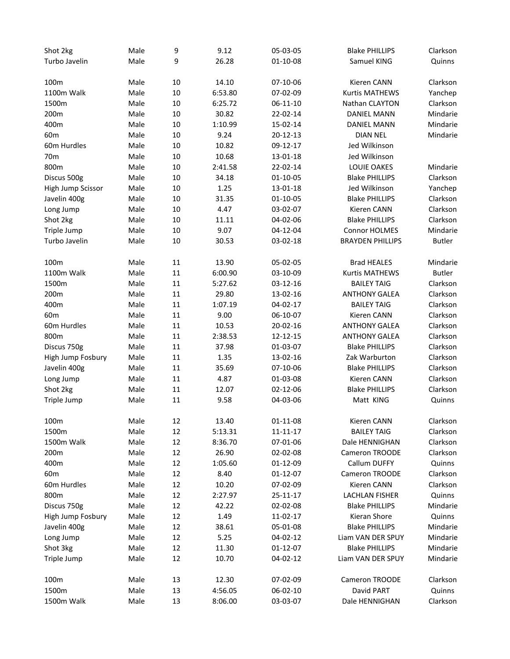| 9<br>26.28<br>Turbo Javelin<br>Male<br>01-10-08<br>Samuel KING<br>Quinns<br>10<br>Clarkson<br>100m<br>Male<br>14.10<br>07-10-06<br>Kieren CANN<br>1100m Walk<br>Male<br>10<br>6:53.80<br>07-02-09<br><b>Kurtis MATHEWS</b><br>Yanchep<br>1500m<br>Male<br>10<br>6:25.72<br>Nathan CLAYTON<br>Clarkson<br>06-11-10<br>Mindarie<br>200m<br>Male<br>10<br>30.82<br>22-02-14<br><b>DANIEL MANN</b><br>1:10.99<br>400m<br>Male<br>10<br>15-02-14<br><b>DANIEL MANN</b><br>Mindarie<br>9.24<br>60 <sub>m</sub><br>Male<br>10<br>20-12-13<br><b>DIAN NEL</b><br>Mindarie<br>10<br>Jed Wilkinson<br>60m Hurdles<br>Male<br>10.82<br>09-12-17<br>Jed Wilkinson<br>Male<br>10<br>10.68<br>13-01-18<br>70 <sub>m</sub><br>800m<br>Male<br>10<br>2:41.58<br>22-02-14<br><b>LOUIE OAKES</b><br>Mindarie<br>Male<br>10<br>34.18<br>01-10-05<br><b>Blake PHILLIPS</b><br>Clarkson<br>Discus 500g<br>1.25<br>Jed Wilkinson<br>Male<br>10<br>13-01-18<br>High Jump Scissor<br>Yanchep<br>Male<br>10<br>31.35<br>01-10-05<br><b>Blake PHILLIPS</b><br>Clarkson<br>Javelin 400g<br>Clarkson<br>Male<br>10<br>4.47<br>03-02-07<br>Kieren CANN<br>Long Jump<br>Shot 2kg<br>Male<br>10<br>11.11<br>04-02-06<br><b>Blake PHILLIPS</b><br>Clarkson<br>9.07<br>Triple Jump<br>Male<br>10<br>04-12-04<br><b>Connor HOLMES</b><br>Mindarie<br>10<br><b>Butler</b><br>Turbo Javelin<br>Male<br>30.53<br>03-02-18<br><b>BRAYDEN PHILLIPS</b><br>11<br>13.90<br>100 <sub>m</sub><br>Male<br>05-02-05<br><b>Brad HEALES</b><br>Mindarie<br>1100m Walk<br>Male<br>11<br>6:00.90<br>03-10-09<br><b>Kurtis MATHEWS</b><br><b>Butler</b><br>1500m<br>Male<br>11<br>5:27.62<br>03-12-16<br><b>BAILEY TAIG</b><br>Clarkson<br>Clarkson<br>200m<br>Male<br>11<br>29.80<br>13-02-16<br><b>ANTHONY GALEA</b><br>400m<br>Male<br>11<br>1:07.19<br>04-02-17<br><b>BAILEY TAIG</b><br>Clarkson<br>$11\,$<br>Clarkson<br>60 <sub>m</sub><br>Male<br>9.00<br>06-10-07<br>Kieren CANN<br>$11\,$<br>Clarkson<br>60m Hurdles<br>Male<br>10.53<br>20-02-16<br><b>ANTHONY GALEA</b><br>11<br>Clarkson<br>800m<br>Male<br>2:38.53<br>12-12-15<br><b>ANTHONY GALEA</b><br>Male<br>11<br>37.98<br>01-03-07<br><b>Blake PHILLIPS</b><br>Clarkson<br>Discus 750g<br>Male<br>11<br>1.35<br>13-02-16<br>Zak Warburton<br>Clarkson<br>High Jump Fosbury<br>Male<br>11<br>35.69<br>07-10-06<br><b>Blake PHILLIPS</b><br>Clarkson<br>Javelin 400g<br>Clarkson<br>Male<br>11<br>4.87<br>01-03-08<br>Kieren CANN<br>Long Jump<br>Clarkson<br>Shot 2kg<br>Male<br>11<br>12.07<br>02-12-06<br><b>Blake PHILLIPS</b><br>Triple Jump<br>Male<br>11<br>9.58<br>04-03-06<br>Matt KING<br>Quinns<br>100m<br>Male<br>12<br>13.40<br>01-11-08<br>Kieren CANN<br>Clarkson<br>12<br>1500m<br>Male<br>5:13.31<br>$11 - 11 - 17$<br><b>BAILEY TAIG</b><br>Clarkson<br>12<br>1500m Walk<br>Clarkson<br>Male<br>8:36.70<br>07-01-06<br>Dale HENNIGHAN<br>12<br>26.90<br>200m<br>Male<br>02-02-08<br>Cameron TROODE<br>Clarkson<br>400m<br>Male<br>12<br>1:05.60<br>Callum DUFFY<br>Quinns<br>01-12-09<br>12<br>8.40<br>01-12-07<br>Cameron TROODE<br>Clarkson<br>60 <sub>m</sub><br>Male<br>60m Hurdles<br>12<br>10.20<br>07-02-09<br>Kieren CANN<br>Clarkson<br>Male<br>800m<br>12<br>2:27.97<br>Male<br>25-11-17<br>LACHLAN FISHER<br>Quinns<br>12<br>Mindarie<br>Discus 750g<br>Male<br>42.22<br>02-02-08<br><b>Blake PHILLIPS</b><br>12<br>1.49<br>Kieran Shore<br>Quinns<br>High Jump Fosbury<br>Male<br>11-02-17<br>12<br>Javelin 400g<br>Male<br>38.61<br>05-01-08<br><b>Blake PHILLIPS</b><br>Mindarie<br>12<br>5.25<br>Long Jump<br>Male<br>04-02-12<br>Liam VAN DER SPUY<br>Mindarie<br>Shot 3kg<br>12<br>Male<br>11.30<br>01-12-07<br><b>Blake PHILLIPS</b><br>Mindarie<br>12<br>10.70<br>Liam VAN DER SPUY<br>Mindarie<br>Triple Jump<br>Male<br>04-02-12<br>13<br>07-02-09<br>Cameron TROODE<br>Clarkson<br>100m<br>Male<br>12.30<br>1500m<br>13<br>4:56.05<br>06-02-10<br>David PART<br>Quinns<br>Male<br>1500m Walk<br>13<br>Dale HENNIGHAN<br>Clarkson<br>Male<br>8:06.00<br>03-03-07 | Shot 2kg | Male | 9 | 9.12 | 05-03-05 | <b>Blake PHILLIPS</b> | Clarkson |
|--------------------------------------------------------------------------------------------------------------------------------------------------------------------------------------------------------------------------------------------------------------------------------------------------------------------------------------------------------------------------------------------------------------------------------------------------------------------------------------------------------------------------------------------------------------------------------------------------------------------------------------------------------------------------------------------------------------------------------------------------------------------------------------------------------------------------------------------------------------------------------------------------------------------------------------------------------------------------------------------------------------------------------------------------------------------------------------------------------------------------------------------------------------------------------------------------------------------------------------------------------------------------------------------------------------------------------------------------------------------------------------------------------------------------------------------------------------------------------------------------------------------------------------------------------------------------------------------------------------------------------------------------------------------------------------------------------------------------------------------------------------------------------------------------------------------------------------------------------------------------------------------------------------------------------------------------------------------------------------------------------------------------------------------------------------------------------------------------------------------------------------------------------------------------------------------------------------------------------------------------------------------------------------------------------------------------------------------------------------------------------------------------------------------------------------------------------------------------------------------------------------------------------------------------------------------------------------------------------------------------------------------------------------------------------------------------------------------------------------------------------------------------------------------------------------------------------------------------------------------------------------------------------------------------------------------------------------------------------------------------------------------------------------------------------------------------------------------------------------------------------------------------------------------------------------------------------------------------------------------------------------------------------------------------------------------------------------------------------------------------------------------------------------------------------------------------------------------------------------------------------------------------------------------------------------------------------------------------------------------------------------------------------------------------------------------------------------------------------------------------------------------------------------------------------------------------------------------------------------------------------------------------------------------------------------------------------------------------------------------------------------------------|----------|------|---|------|----------|-----------------------|----------|
|                                                                                                                                                                                                                                                                                                                                                                                                                                                                                                                                                                                                                                                                                                                                                                                                                                                                                                                                                                                                                                                                                                                                                                                                                                                                                                                                                                                                                                                                                                                                                                                                                                                                                                                                                                                                                                                                                                                                                                                                                                                                                                                                                                                                                                                                                                                                                                                                                                                                                                                                                                                                                                                                                                                                                                                                                                                                                                                                                                                                                                                                                                                                                                                                                                                                                                                                                                                                                                                                                                                                                                                                                                                                                                                                                                                                                                                                                                                                                                                                                          |          |      |   |      |          |                       |          |
|                                                                                                                                                                                                                                                                                                                                                                                                                                                                                                                                                                                                                                                                                                                                                                                                                                                                                                                                                                                                                                                                                                                                                                                                                                                                                                                                                                                                                                                                                                                                                                                                                                                                                                                                                                                                                                                                                                                                                                                                                                                                                                                                                                                                                                                                                                                                                                                                                                                                                                                                                                                                                                                                                                                                                                                                                                                                                                                                                                                                                                                                                                                                                                                                                                                                                                                                                                                                                                                                                                                                                                                                                                                                                                                                                                                                                                                                                                                                                                                                                          |          |      |   |      |          |                       |          |
|                                                                                                                                                                                                                                                                                                                                                                                                                                                                                                                                                                                                                                                                                                                                                                                                                                                                                                                                                                                                                                                                                                                                                                                                                                                                                                                                                                                                                                                                                                                                                                                                                                                                                                                                                                                                                                                                                                                                                                                                                                                                                                                                                                                                                                                                                                                                                                                                                                                                                                                                                                                                                                                                                                                                                                                                                                                                                                                                                                                                                                                                                                                                                                                                                                                                                                                                                                                                                                                                                                                                                                                                                                                                                                                                                                                                                                                                                                                                                                                                                          |          |      |   |      |          |                       |          |
|                                                                                                                                                                                                                                                                                                                                                                                                                                                                                                                                                                                                                                                                                                                                                                                                                                                                                                                                                                                                                                                                                                                                                                                                                                                                                                                                                                                                                                                                                                                                                                                                                                                                                                                                                                                                                                                                                                                                                                                                                                                                                                                                                                                                                                                                                                                                                                                                                                                                                                                                                                                                                                                                                                                                                                                                                                                                                                                                                                                                                                                                                                                                                                                                                                                                                                                                                                                                                                                                                                                                                                                                                                                                                                                                                                                                                                                                                                                                                                                                                          |          |      |   |      |          |                       |          |
|                                                                                                                                                                                                                                                                                                                                                                                                                                                                                                                                                                                                                                                                                                                                                                                                                                                                                                                                                                                                                                                                                                                                                                                                                                                                                                                                                                                                                                                                                                                                                                                                                                                                                                                                                                                                                                                                                                                                                                                                                                                                                                                                                                                                                                                                                                                                                                                                                                                                                                                                                                                                                                                                                                                                                                                                                                                                                                                                                                                                                                                                                                                                                                                                                                                                                                                                                                                                                                                                                                                                                                                                                                                                                                                                                                                                                                                                                                                                                                                                                          |          |      |   |      |          |                       |          |
|                                                                                                                                                                                                                                                                                                                                                                                                                                                                                                                                                                                                                                                                                                                                                                                                                                                                                                                                                                                                                                                                                                                                                                                                                                                                                                                                                                                                                                                                                                                                                                                                                                                                                                                                                                                                                                                                                                                                                                                                                                                                                                                                                                                                                                                                                                                                                                                                                                                                                                                                                                                                                                                                                                                                                                                                                                                                                                                                                                                                                                                                                                                                                                                                                                                                                                                                                                                                                                                                                                                                                                                                                                                                                                                                                                                                                                                                                                                                                                                                                          |          |      |   |      |          |                       |          |
|                                                                                                                                                                                                                                                                                                                                                                                                                                                                                                                                                                                                                                                                                                                                                                                                                                                                                                                                                                                                                                                                                                                                                                                                                                                                                                                                                                                                                                                                                                                                                                                                                                                                                                                                                                                                                                                                                                                                                                                                                                                                                                                                                                                                                                                                                                                                                                                                                                                                                                                                                                                                                                                                                                                                                                                                                                                                                                                                                                                                                                                                                                                                                                                                                                                                                                                                                                                                                                                                                                                                                                                                                                                                                                                                                                                                                                                                                                                                                                                                                          |          |      |   |      |          |                       |          |
|                                                                                                                                                                                                                                                                                                                                                                                                                                                                                                                                                                                                                                                                                                                                                                                                                                                                                                                                                                                                                                                                                                                                                                                                                                                                                                                                                                                                                                                                                                                                                                                                                                                                                                                                                                                                                                                                                                                                                                                                                                                                                                                                                                                                                                                                                                                                                                                                                                                                                                                                                                                                                                                                                                                                                                                                                                                                                                                                                                                                                                                                                                                                                                                                                                                                                                                                                                                                                                                                                                                                                                                                                                                                                                                                                                                                                                                                                                                                                                                                                          |          |      |   |      |          |                       |          |
|                                                                                                                                                                                                                                                                                                                                                                                                                                                                                                                                                                                                                                                                                                                                                                                                                                                                                                                                                                                                                                                                                                                                                                                                                                                                                                                                                                                                                                                                                                                                                                                                                                                                                                                                                                                                                                                                                                                                                                                                                                                                                                                                                                                                                                                                                                                                                                                                                                                                                                                                                                                                                                                                                                                                                                                                                                                                                                                                                                                                                                                                                                                                                                                                                                                                                                                                                                                                                                                                                                                                                                                                                                                                                                                                                                                                                                                                                                                                                                                                                          |          |      |   |      |          |                       |          |
|                                                                                                                                                                                                                                                                                                                                                                                                                                                                                                                                                                                                                                                                                                                                                                                                                                                                                                                                                                                                                                                                                                                                                                                                                                                                                                                                                                                                                                                                                                                                                                                                                                                                                                                                                                                                                                                                                                                                                                                                                                                                                                                                                                                                                                                                                                                                                                                                                                                                                                                                                                                                                                                                                                                                                                                                                                                                                                                                                                                                                                                                                                                                                                                                                                                                                                                                                                                                                                                                                                                                                                                                                                                                                                                                                                                                                                                                                                                                                                                                                          |          |      |   |      |          |                       |          |
|                                                                                                                                                                                                                                                                                                                                                                                                                                                                                                                                                                                                                                                                                                                                                                                                                                                                                                                                                                                                                                                                                                                                                                                                                                                                                                                                                                                                                                                                                                                                                                                                                                                                                                                                                                                                                                                                                                                                                                                                                                                                                                                                                                                                                                                                                                                                                                                                                                                                                                                                                                                                                                                                                                                                                                                                                                                                                                                                                                                                                                                                                                                                                                                                                                                                                                                                                                                                                                                                                                                                                                                                                                                                                                                                                                                                                                                                                                                                                                                                                          |          |      |   |      |          |                       |          |
|                                                                                                                                                                                                                                                                                                                                                                                                                                                                                                                                                                                                                                                                                                                                                                                                                                                                                                                                                                                                                                                                                                                                                                                                                                                                                                                                                                                                                                                                                                                                                                                                                                                                                                                                                                                                                                                                                                                                                                                                                                                                                                                                                                                                                                                                                                                                                                                                                                                                                                                                                                                                                                                                                                                                                                                                                                                                                                                                                                                                                                                                                                                                                                                                                                                                                                                                                                                                                                                                                                                                                                                                                                                                                                                                                                                                                                                                                                                                                                                                                          |          |      |   |      |          |                       |          |
|                                                                                                                                                                                                                                                                                                                                                                                                                                                                                                                                                                                                                                                                                                                                                                                                                                                                                                                                                                                                                                                                                                                                                                                                                                                                                                                                                                                                                                                                                                                                                                                                                                                                                                                                                                                                                                                                                                                                                                                                                                                                                                                                                                                                                                                                                                                                                                                                                                                                                                                                                                                                                                                                                                                                                                                                                                                                                                                                                                                                                                                                                                                                                                                                                                                                                                                                                                                                                                                                                                                                                                                                                                                                                                                                                                                                                                                                                                                                                                                                                          |          |      |   |      |          |                       |          |
|                                                                                                                                                                                                                                                                                                                                                                                                                                                                                                                                                                                                                                                                                                                                                                                                                                                                                                                                                                                                                                                                                                                                                                                                                                                                                                                                                                                                                                                                                                                                                                                                                                                                                                                                                                                                                                                                                                                                                                                                                                                                                                                                                                                                                                                                                                                                                                                                                                                                                                                                                                                                                                                                                                                                                                                                                                                                                                                                                                                                                                                                                                                                                                                                                                                                                                                                                                                                                                                                                                                                                                                                                                                                                                                                                                                                                                                                                                                                                                                                                          |          |      |   |      |          |                       |          |
|                                                                                                                                                                                                                                                                                                                                                                                                                                                                                                                                                                                                                                                                                                                                                                                                                                                                                                                                                                                                                                                                                                                                                                                                                                                                                                                                                                                                                                                                                                                                                                                                                                                                                                                                                                                                                                                                                                                                                                                                                                                                                                                                                                                                                                                                                                                                                                                                                                                                                                                                                                                                                                                                                                                                                                                                                                                                                                                                                                                                                                                                                                                                                                                                                                                                                                                                                                                                                                                                                                                                                                                                                                                                                                                                                                                                                                                                                                                                                                                                                          |          |      |   |      |          |                       |          |
|                                                                                                                                                                                                                                                                                                                                                                                                                                                                                                                                                                                                                                                                                                                                                                                                                                                                                                                                                                                                                                                                                                                                                                                                                                                                                                                                                                                                                                                                                                                                                                                                                                                                                                                                                                                                                                                                                                                                                                                                                                                                                                                                                                                                                                                                                                                                                                                                                                                                                                                                                                                                                                                                                                                                                                                                                                                                                                                                                                                                                                                                                                                                                                                                                                                                                                                                                                                                                                                                                                                                                                                                                                                                                                                                                                                                                                                                                                                                                                                                                          |          |      |   |      |          |                       |          |
|                                                                                                                                                                                                                                                                                                                                                                                                                                                                                                                                                                                                                                                                                                                                                                                                                                                                                                                                                                                                                                                                                                                                                                                                                                                                                                                                                                                                                                                                                                                                                                                                                                                                                                                                                                                                                                                                                                                                                                                                                                                                                                                                                                                                                                                                                                                                                                                                                                                                                                                                                                                                                                                                                                                                                                                                                                                                                                                                                                                                                                                                                                                                                                                                                                                                                                                                                                                                                                                                                                                                                                                                                                                                                                                                                                                                                                                                                                                                                                                                                          |          |      |   |      |          |                       |          |
|                                                                                                                                                                                                                                                                                                                                                                                                                                                                                                                                                                                                                                                                                                                                                                                                                                                                                                                                                                                                                                                                                                                                                                                                                                                                                                                                                                                                                                                                                                                                                                                                                                                                                                                                                                                                                                                                                                                                                                                                                                                                                                                                                                                                                                                                                                                                                                                                                                                                                                                                                                                                                                                                                                                                                                                                                                                                                                                                                                                                                                                                                                                                                                                                                                                                                                                                                                                                                                                                                                                                                                                                                                                                                                                                                                                                                                                                                                                                                                                                                          |          |      |   |      |          |                       |          |
|                                                                                                                                                                                                                                                                                                                                                                                                                                                                                                                                                                                                                                                                                                                                                                                                                                                                                                                                                                                                                                                                                                                                                                                                                                                                                                                                                                                                                                                                                                                                                                                                                                                                                                                                                                                                                                                                                                                                                                                                                                                                                                                                                                                                                                                                                                                                                                                                                                                                                                                                                                                                                                                                                                                                                                                                                                                                                                                                                                                                                                                                                                                                                                                                                                                                                                                                                                                                                                                                                                                                                                                                                                                                                                                                                                                                                                                                                                                                                                                                                          |          |      |   |      |          |                       |          |
|                                                                                                                                                                                                                                                                                                                                                                                                                                                                                                                                                                                                                                                                                                                                                                                                                                                                                                                                                                                                                                                                                                                                                                                                                                                                                                                                                                                                                                                                                                                                                                                                                                                                                                                                                                                                                                                                                                                                                                                                                                                                                                                                                                                                                                                                                                                                                                                                                                                                                                                                                                                                                                                                                                                                                                                                                                                                                                                                                                                                                                                                                                                                                                                                                                                                                                                                                                                                                                                                                                                                                                                                                                                                                                                                                                                                                                                                                                                                                                                                                          |          |      |   |      |          |                       |          |
|                                                                                                                                                                                                                                                                                                                                                                                                                                                                                                                                                                                                                                                                                                                                                                                                                                                                                                                                                                                                                                                                                                                                                                                                                                                                                                                                                                                                                                                                                                                                                                                                                                                                                                                                                                                                                                                                                                                                                                                                                                                                                                                                                                                                                                                                                                                                                                                                                                                                                                                                                                                                                                                                                                                                                                                                                                                                                                                                                                                                                                                                                                                                                                                                                                                                                                                                                                                                                                                                                                                                                                                                                                                                                                                                                                                                                                                                                                                                                                                                                          |          |      |   |      |          |                       |          |
|                                                                                                                                                                                                                                                                                                                                                                                                                                                                                                                                                                                                                                                                                                                                                                                                                                                                                                                                                                                                                                                                                                                                                                                                                                                                                                                                                                                                                                                                                                                                                                                                                                                                                                                                                                                                                                                                                                                                                                                                                                                                                                                                                                                                                                                                                                                                                                                                                                                                                                                                                                                                                                                                                                                                                                                                                                                                                                                                                                                                                                                                                                                                                                                                                                                                                                                                                                                                                                                                                                                                                                                                                                                                                                                                                                                                                                                                                                                                                                                                                          |          |      |   |      |          |                       |          |
|                                                                                                                                                                                                                                                                                                                                                                                                                                                                                                                                                                                                                                                                                                                                                                                                                                                                                                                                                                                                                                                                                                                                                                                                                                                                                                                                                                                                                                                                                                                                                                                                                                                                                                                                                                                                                                                                                                                                                                                                                                                                                                                                                                                                                                                                                                                                                                                                                                                                                                                                                                                                                                                                                                                                                                                                                                                                                                                                                                                                                                                                                                                                                                                                                                                                                                                                                                                                                                                                                                                                                                                                                                                                                                                                                                                                                                                                                                                                                                                                                          |          |      |   |      |          |                       |          |
|                                                                                                                                                                                                                                                                                                                                                                                                                                                                                                                                                                                                                                                                                                                                                                                                                                                                                                                                                                                                                                                                                                                                                                                                                                                                                                                                                                                                                                                                                                                                                                                                                                                                                                                                                                                                                                                                                                                                                                                                                                                                                                                                                                                                                                                                                                                                                                                                                                                                                                                                                                                                                                                                                                                                                                                                                                                                                                                                                                                                                                                                                                                                                                                                                                                                                                                                                                                                                                                                                                                                                                                                                                                                                                                                                                                                                                                                                                                                                                                                                          |          |      |   |      |          |                       |          |
|                                                                                                                                                                                                                                                                                                                                                                                                                                                                                                                                                                                                                                                                                                                                                                                                                                                                                                                                                                                                                                                                                                                                                                                                                                                                                                                                                                                                                                                                                                                                                                                                                                                                                                                                                                                                                                                                                                                                                                                                                                                                                                                                                                                                                                                                                                                                                                                                                                                                                                                                                                                                                                                                                                                                                                                                                                                                                                                                                                                                                                                                                                                                                                                                                                                                                                                                                                                                                                                                                                                                                                                                                                                                                                                                                                                                                                                                                                                                                                                                                          |          |      |   |      |          |                       |          |
|                                                                                                                                                                                                                                                                                                                                                                                                                                                                                                                                                                                                                                                                                                                                                                                                                                                                                                                                                                                                                                                                                                                                                                                                                                                                                                                                                                                                                                                                                                                                                                                                                                                                                                                                                                                                                                                                                                                                                                                                                                                                                                                                                                                                                                                                                                                                                                                                                                                                                                                                                                                                                                                                                                                                                                                                                                                                                                                                                                                                                                                                                                                                                                                                                                                                                                                                                                                                                                                                                                                                                                                                                                                                                                                                                                                                                                                                                                                                                                                                                          |          |      |   |      |          |                       |          |
|                                                                                                                                                                                                                                                                                                                                                                                                                                                                                                                                                                                                                                                                                                                                                                                                                                                                                                                                                                                                                                                                                                                                                                                                                                                                                                                                                                                                                                                                                                                                                                                                                                                                                                                                                                                                                                                                                                                                                                                                                                                                                                                                                                                                                                                                                                                                                                                                                                                                                                                                                                                                                                                                                                                                                                                                                                                                                                                                                                                                                                                                                                                                                                                                                                                                                                                                                                                                                                                                                                                                                                                                                                                                                                                                                                                                                                                                                                                                                                                                                          |          |      |   |      |          |                       |          |
|                                                                                                                                                                                                                                                                                                                                                                                                                                                                                                                                                                                                                                                                                                                                                                                                                                                                                                                                                                                                                                                                                                                                                                                                                                                                                                                                                                                                                                                                                                                                                                                                                                                                                                                                                                                                                                                                                                                                                                                                                                                                                                                                                                                                                                                                                                                                                                                                                                                                                                                                                                                                                                                                                                                                                                                                                                                                                                                                                                                                                                                                                                                                                                                                                                                                                                                                                                                                                                                                                                                                                                                                                                                                                                                                                                                                                                                                                                                                                                                                                          |          |      |   |      |          |                       |          |
|                                                                                                                                                                                                                                                                                                                                                                                                                                                                                                                                                                                                                                                                                                                                                                                                                                                                                                                                                                                                                                                                                                                                                                                                                                                                                                                                                                                                                                                                                                                                                                                                                                                                                                                                                                                                                                                                                                                                                                                                                                                                                                                                                                                                                                                                                                                                                                                                                                                                                                                                                                                                                                                                                                                                                                                                                                                                                                                                                                                                                                                                                                                                                                                                                                                                                                                                                                                                                                                                                                                                                                                                                                                                                                                                                                                                                                                                                                                                                                                                                          |          |      |   |      |          |                       |          |
|                                                                                                                                                                                                                                                                                                                                                                                                                                                                                                                                                                                                                                                                                                                                                                                                                                                                                                                                                                                                                                                                                                                                                                                                                                                                                                                                                                                                                                                                                                                                                                                                                                                                                                                                                                                                                                                                                                                                                                                                                                                                                                                                                                                                                                                                                                                                                                                                                                                                                                                                                                                                                                                                                                                                                                                                                                                                                                                                                                                                                                                                                                                                                                                                                                                                                                                                                                                                                                                                                                                                                                                                                                                                                                                                                                                                                                                                                                                                                                                                                          |          |      |   |      |          |                       |          |
|                                                                                                                                                                                                                                                                                                                                                                                                                                                                                                                                                                                                                                                                                                                                                                                                                                                                                                                                                                                                                                                                                                                                                                                                                                                                                                                                                                                                                                                                                                                                                                                                                                                                                                                                                                                                                                                                                                                                                                                                                                                                                                                                                                                                                                                                                                                                                                                                                                                                                                                                                                                                                                                                                                                                                                                                                                                                                                                                                                                                                                                                                                                                                                                                                                                                                                                                                                                                                                                                                                                                                                                                                                                                                                                                                                                                                                                                                                                                                                                                                          |          |      |   |      |          |                       |          |
|                                                                                                                                                                                                                                                                                                                                                                                                                                                                                                                                                                                                                                                                                                                                                                                                                                                                                                                                                                                                                                                                                                                                                                                                                                                                                                                                                                                                                                                                                                                                                                                                                                                                                                                                                                                                                                                                                                                                                                                                                                                                                                                                                                                                                                                                                                                                                                                                                                                                                                                                                                                                                                                                                                                                                                                                                                                                                                                                                                                                                                                                                                                                                                                                                                                                                                                                                                                                                                                                                                                                                                                                                                                                                                                                                                                                                                                                                                                                                                                                                          |          |      |   |      |          |                       |          |
|                                                                                                                                                                                                                                                                                                                                                                                                                                                                                                                                                                                                                                                                                                                                                                                                                                                                                                                                                                                                                                                                                                                                                                                                                                                                                                                                                                                                                                                                                                                                                                                                                                                                                                                                                                                                                                                                                                                                                                                                                                                                                                                                                                                                                                                                                                                                                                                                                                                                                                                                                                                                                                                                                                                                                                                                                                                                                                                                                                                                                                                                                                                                                                                                                                                                                                                                                                                                                                                                                                                                                                                                                                                                                                                                                                                                                                                                                                                                                                                                                          |          |      |   |      |          |                       |          |
|                                                                                                                                                                                                                                                                                                                                                                                                                                                                                                                                                                                                                                                                                                                                                                                                                                                                                                                                                                                                                                                                                                                                                                                                                                                                                                                                                                                                                                                                                                                                                                                                                                                                                                                                                                                                                                                                                                                                                                                                                                                                                                                                                                                                                                                                                                                                                                                                                                                                                                                                                                                                                                                                                                                                                                                                                                                                                                                                                                                                                                                                                                                                                                                                                                                                                                                                                                                                                                                                                                                                                                                                                                                                                                                                                                                                                                                                                                                                                                                                                          |          |      |   |      |          |                       |          |
|                                                                                                                                                                                                                                                                                                                                                                                                                                                                                                                                                                                                                                                                                                                                                                                                                                                                                                                                                                                                                                                                                                                                                                                                                                                                                                                                                                                                                                                                                                                                                                                                                                                                                                                                                                                                                                                                                                                                                                                                                                                                                                                                                                                                                                                                                                                                                                                                                                                                                                                                                                                                                                                                                                                                                                                                                                                                                                                                                                                                                                                                                                                                                                                                                                                                                                                                                                                                                                                                                                                                                                                                                                                                                                                                                                                                                                                                                                                                                                                                                          |          |      |   |      |          |                       |          |
|                                                                                                                                                                                                                                                                                                                                                                                                                                                                                                                                                                                                                                                                                                                                                                                                                                                                                                                                                                                                                                                                                                                                                                                                                                                                                                                                                                                                                                                                                                                                                                                                                                                                                                                                                                                                                                                                                                                                                                                                                                                                                                                                                                                                                                                                                                                                                                                                                                                                                                                                                                                                                                                                                                                                                                                                                                                                                                                                                                                                                                                                                                                                                                                                                                                                                                                                                                                                                                                                                                                                                                                                                                                                                                                                                                                                                                                                                                                                                                                                                          |          |      |   |      |          |                       |          |
|                                                                                                                                                                                                                                                                                                                                                                                                                                                                                                                                                                                                                                                                                                                                                                                                                                                                                                                                                                                                                                                                                                                                                                                                                                                                                                                                                                                                                                                                                                                                                                                                                                                                                                                                                                                                                                                                                                                                                                                                                                                                                                                                                                                                                                                                                                                                                                                                                                                                                                                                                                                                                                                                                                                                                                                                                                                                                                                                                                                                                                                                                                                                                                                                                                                                                                                                                                                                                                                                                                                                                                                                                                                                                                                                                                                                                                                                                                                                                                                                                          |          |      |   |      |          |                       |          |
|                                                                                                                                                                                                                                                                                                                                                                                                                                                                                                                                                                                                                                                                                                                                                                                                                                                                                                                                                                                                                                                                                                                                                                                                                                                                                                                                                                                                                                                                                                                                                                                                                                                                                                                                                                                                                                                                                                                                                                                                                                                                                                                                                                                                                                                                                                                                                                                                                                                                                                                                                                                                                                                                                                                                                                                                                                                                                                                                                                                                                                                                                                                                                                                                                                                                                                                                                                                                                                                                                                                                                                                                                                                                                                                                                                                                                                                                                                                                                                                                                          |          |      |   |      |          |                       |          |
|                                                                                                                                                                                                                                                                                                                                                                                                                                                                                                                                                                                                                                                                                                                                                                                                                                                                                                                                                                                                                                                                                                                                                                                                                                                                                                                                                                                                                                                                                                                                                                                                                                                                                                                                                                                                                                                                                                                                                                                                                                                                                                                                                                                                                                                                                                                                                                                                                                                                                                                                                                                                                                                                                                                                                                                                                                                                                                                                                                                                                                                                                                                                                                                                                                                                                                                                                                                                                                                                                                                                                                                                                                                                                                                                                                                                                                                                                                                                                                                                                          |          |      |   |      |          |                       |          |
|                                                                                                                                                                                                                                                                                                                                                                                                                                                                                                                                                                                                                                                                                                                                                                                                                                                                                                                                                                                                                                                                                                                                                                                                                                                                                                                                                                                                                                                                                                                                                                                                                                                                                                                                                                                                                                                                                                                                                                                                                                                                                                                                                                                                                                                                                                                                                                                                                                                                                                                                                                                                                                                                                                                                                                                                                                                                                                                                                                                                                                                                                                                                                                                                                                                                                                                                                                                                                                                                                                                                                                                                                                                                                                                                                                                                                                                                                                                                                                                                                          |          |      |   |      |          |                       |          |
|                                                                                                                                                                                                                                                                                                                                                                                                                                                                                                                                                                                                                                                                                                                                                                                                                                                                                                                                                                                                                                                                                                                                                                                                                                                                                                                                                                                                                                                                                                                                                                                                                                                                                                                                                                                                                                                                                                                                                                                                                                                                                                                                                                                                                                                                                                                                                                                                                                                                                                                                                                                                                                                                                                                                                                                                                                                                                                                                                                                                                                                                                                                                                                                                                                                                                                                                                                                                                                                                                                                                                                                                                                                                                                                                                                                                                                                                                                                                                                                                                          |          |      |   |      |          |                       |          |
|                                                                                                                                                                                                                                                                                                                                                                                                                                                                                                                                                                                                                                                                                                                                                                                                                                                                                                                                                                                                                                                                                                                                                                                                                                                                                                                                                                                                                                                                                                                                                                                                                                                                                                                                                                                                                                                                                                                                                                                                                                                                                                                                                                                                                                                                                                                                                                                                                                                                                                                                                                                                                                                                                                                                                                                                                                                                                                                                                                                                                                                                                                                                                                                                                                                                                                                                                                                                                                                                                                                                                                                                                                                                                                                                                                                                                                                                                                                                                                                                                          |          |      |   |      |          |                       |          |
|                                                                                                                                                                                                                                                                                                                                                                                                                                                                                                                                                                                                                                                                                                                                                                                                                                                                                                                                                                                                                                                                                                                                                                                                                                                                                                                                                                                                                                                                                                                                                                                                                                                                                                                                                                                                                                                                                                                                                                                                                                                                                                                                                                                                                                                                                                                                                                                                                                                                                                                                                                                                                                                                                                                                                                                                                                                                                                                                                                                                                                                                                                                                                                                                                                                                                                                                                                                                                                                                                                                                                                                                                                                                                                                                                                                                                                                                                                                                                                                                                          |          |      |   |      |          |                       |          |
|                                                                                                                                                                                                                                                                                                                                                                                                                                                                                                                                                                                                                                                                                                                                                                                                                                                                                                                                                                                                                                                                                                                                                                                                                                                                                                                                                                                                                                                                                                                                                                                                                                                                                                                                                                                                                                                                                                                                                                                                                                                                                                                                                                                                                                                                                                                                                                                                                                                                                                                                                                                                                                                                                                                                                                                                                                                                                                                                                                                                                                                                                                                                                                                                                                                                                                                                                                                                                                                                                                                                                                                                                                                                                                                                                                                                                                                                                                                                                                                                                          |          |      |   |      |          |                       |          |
|                                                                                                                                                                                                                                                                                                                                                                                                                                                                                                                                                                                                                                                                                                                                                                                                                                                                                                                                                                                                                                                                                                                                                                                                                                                                                                                                                                                                                                                                                                                                                                                                                                                                                                                                                                                                                                                                                                                                                                                                                                                                                                                                                                                                                                                                                                                                                                                                                                                                                                                                                                                                                                                                                                                                                                                                                                                                                                                                                                                                                                                                                                                                                                                                                                                                                                                                                                                                                                                                                                                                                                                                                                                                                                                                                                                                                                                                                                                                                                                                                          |          |      |   |      |          |                       |          |
|                                                                                                                                                                                                                                                                                                                                                                                                                                                                                                                                                                                                                                                                                                                                                                                                                                                                                                                                                                                                                                                                                                                                                                                                                                                                                                                                                                                                                                                                                                                                                                                                                                                                                                                                                                                                                                                                                                                                                                                                                                                                                                                                                                                                                                                                                                                                                                                                                                                                                                                                                                                                                                                                                                                                                                                                                                                                                                                                                                                                                                                                                                                                                                                                                                                                                                                                                                                                                                                                                                                                                                                                                                                                                                                                                                                                                                                                                                                                                                                                                          |          |      |   |      |          |                       |          |
|                                                                                                                                                                                                                                                                                                                                                                                                                                                                                                                                                                                                                                                                                                                                                                                                                                                                                                                                                                                                                                                                                                                                                                                                                                                                                                                                                                                                                                                                                                                                                                                                                                                                                                                                                                                                                                                                                                                                                                                                                                                                                                                                                                                                                                                                                                                                                                                                                                                                                                                                                                                                                                                                                                                                                                                                                                                                                                                                                                                                                                                                                                                                                                                                                                                                                                                                                                                                                                                                                                                                                                                                                                                                                                                                                                                                                                                                                                                                                                                                                          |          |      |   |      |          |                       |          |
|                                                                                                                                                                                                                                                                                                                                                                                                                                                                                                                                                                                                                                                                                                                                                                                                                                                                                                                                                                                                                                                                                                                                                                                                                                                                                                                                                                                                                                                                                                                                                                                                                                                                                                                                                                                                                                                                                                                                                                                                                                                                                                                                                                                                                                                                                                                                                                                                                                                                                                                                                                                                                                                                                                                                                                                                                                                                                                                                                                                                                                                                                                                                                                                                                                                                                                                                                                                                                                                                                                                                                                                                                                                                                                                                                                                                                                                                                                                                                                                                                          |          |      |   |      |          |                       |          |
|                                                                                                                                                                                                                                                                                                                                                                                                                                                                                                                                                                                                                                                                                                                                                                                                                                                                                                                                                                                                                                                                                                                                                                                                                                                                                                                                                                                                                                                                                                                                                                                                                                                                                                                                                                                                                                                                                                                                                                                                                                                                                                                                                                                                                                                                                                                                                                                                                                                                                                                                                                                                                                                                                                                                                                                                                                                                                                                                                                                                                                                                                                                                                                                                                                                                                                                                                                                                                                                                                                                                                                                                                                                                                                                                                                                                                                                                                                                                                                                                                          |          |      |   |      |          |                       |          |
|                                                                                                                                                                                                                                                                                                                                                                                                                                                                                                                                                                                                                                                                                                                                                                                                                                                                                                                                                                                                                                                                                                                                                                                                                                                                                                                                                                                                                                                                                                                                                                                                                                                                                                                                                                                                                                                                                                                                                                                                                                                                                                                                                                                                                                                                                                                                                                                                                                                                                                                                                                                                                                                                                                                                                                                                                                                                                                                                                                                                                                                                                                                                                                                                                                                                                                                                                                                                                                                                                                                                                                                                                                                                                                                                                                                                                                                                                                                                                                                                                          |          |      |   |      |          |                       |          |
|                                                                                                                                                                                                                                                                                                                                                                                                                                                                                                                                                                                                                                                                                                                                                                                                                                                                                                                                                                                                                                                                                                                                                                                                                                                                                                                                                                                                                                                                                                                                                                                                                                                                                                                                                                                                                                                                                                                                                                                                                                                                                                                                                                                                                                                                                                                                                                                                                                                                                                                                                                                                                                                                                                                                                                                                                                                                                                                                                                                                                                                                                                                                                                                                                                                                                                                                                                                                                                                                                                                                                                                                                                                                                                                                                                                                                                                                                                                                                                                                                          |          |      |   |      |          |                       |          |
|                                                                                                                                                                                                                                                                                                                                                                                                                                                                                                                                                                                                                                                                                                                                                                                                                                                                                                                                                                                                                                                                                                                                                                                                                                                                                                                                                                                                                                                                                                                                                                                                                                                                                                                                                                                                                                                                                                                                                                                                                                                                                                                                                                                                                                                                                                                                                                                                                                                                                                                                                                                                                                                                                                                                                                                                                                                                                                                                                                                                                                                                                                                                                                                                                                                                                                                                                                                                                                                                                                                                                                                                                                                                                                                                                                                                                                                                                                                                                                                                                          |          |      |   |      |          |                       |          |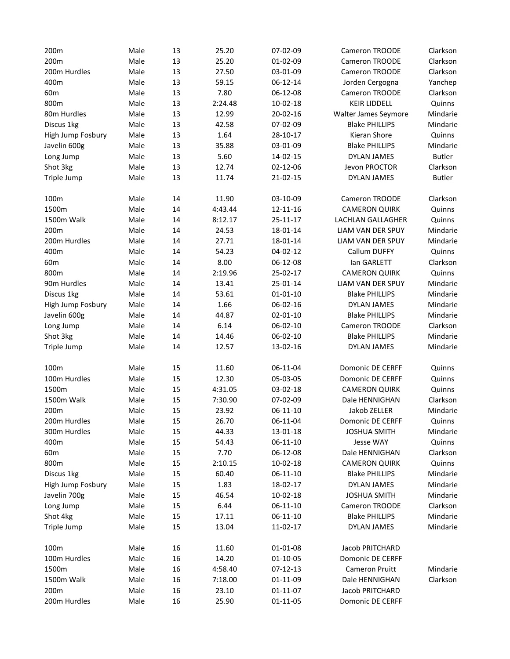| 200m              | Male | 13 | 25.20   | 07-02-09       | <b>Cameron TROODE</b>    | Clarkson      |
|-------------------|------|----|---------|----------------|--------------------------|---------------|
| 200m              | Male | 13 | 25.20   | 01-02-09       | Cameron TROODE           | Clarkson      |
| 200m Hurdles      | Male | 13 | 27.50   | 03-01-09       | <b>Cameron TROODE</b>    | Clarkson      |
| 400m              | Male | 13 | 59.15   | 06-12-14       | Jorden Cergogna          | Yanchep       |
| 60 <sub>m</sub>   | Male | 13 | 7.80    | 06-12-08       | Cameron TROODE           | Clarkson      |
| 800m              | Male | 13 | 2:24.48 | 10-02-18       | <b>KEIR LIDDELL</b>      | Quinns        |
| 80m Hurdles       | Male | 13 | 12.99   | 20-02-16       | Walter James Seymore     | Mindarie      |
| Discus 1kg        | Male | 13 | 42.58   | 07-02-09       | <b>Blake PHILLIPS</b>    | Mindarie      |
| High Jump Fosbury | Male | 13 | 1.64    | 28-10-17       | Kieran Shore             | Quinns        |
| Javelin 600g      | Male | 13 | 35.88   | 03-01-09       | <b>Blake PHILLIPS</b>    | Mindarie      |
| Long Jump         | Male | 13 | 5.60    | 14-02-15       | <b>DYLAN JAMES</b>       | <b>Butler</b> |
| Shot 3kg          | Male | 13 | 12.74   | 02-12-06       | Jevon PROCTOR            | Clarkson      |
| Triple Jump       | Male | 13 | 11.74   | 21-02-15       | <b>DYLAN JAMES</b>       | <b>Butler</b> |
| 100m              | Male | 14 | 11.90   | 03-10-09       | Cameron TROODE           | Clarkson      |
| 1500m             | Male | 14 | 4:43.44 | 12-11-16       | <b>CAMERON QUIRK</b>     | Quinns        |
| 1500m Walk        | Male | 14 | 8:12.17 | 25-11-17       | LACHLAN GALLAGHER        | Quinns        |
| 200m              | Male | 14 | 24.53   | 18-01-14       | <b>LIAM VAN DER SPUY</b> | Mindarie      |
| 200m Hurdles      | Male | 14 | 27.71   | 18-01-14       | <b>LIAM VAN DER SPUY</b> | Mindarie      |
| 400m              | Male | 14 | 54.23   | 04-02-12       | Callum DUFFY             | Quinns        |
| 60 <sub>m</sub>   | Male | 14 | 8.00    | 06-12-08       | lan GARLETT              | Clarkson      |
| 800m              | Male | 14 | 2:19.96 | 25-02-17       | <b>CAMERON QUIRK</b>     | Quinns        |
| 90m Hurdles       | Male | 14 | 13.41   | 25-01-14       | LIAM VAN DER SPUY        | Mindarie      |
| Discus 1kg        | Male | 14 | 53.61   | $01 - 01 - 10$ | <b>Blake PHILLIPS</b>    | Mindarie      |
| High Jump Fosbury | Male | 14 | 1.66    | 06-02-16       | <b>DYLAN JAMES</b>       | Mindarie      |
| Javelin 600g      | Male | 14 | 44.87   | $02 - 01 - 10$ | <b>Blake PHILLIPS</b>    | Mindarie      |
| Long Jump         | Male | 14 | 6.14    | 06-02-10       | Cameron TROODE           | Clarkson      |
| Shot 3kg          | Male | 14 | 14.46   | 06-02-10       | <b>Blake PHILLIPS</b>    | Mindarie      |
| Triple Jump       | Male | 14 | 12.57   | 13-02-16       | <b>DYLAN JAMES</b>       | Mindarie      |
| 100m              | Male | 15 | 11.60   | 06-11-04       | <b>Domonic DE CERFF</b>  | Quinns        |
| 100m Hurdles      | Male | 15 | 12.30   | 05-03-05       | <b>Domonic DE CERFF</b>  | Quinns        |
| 1500m             | Male | 15 | 4:31.05 | 03-02-18       | <b>CAMERON QUIRK</b>     | Quinns        |
| 1500m Walk        | Male | 15 | 7:30.90 | 07-02-09       | Dale HENNIGHAN           | Clarkson      |
| 200m              | Male | 15 | 23.92   | $06-11-10$     | Jakob ZELLER             | Mindarie      |
| 200m Hurdles      | Male | 15 | 26.70   | 06-11-04       | Domonic DE CERFF         | Quinns        |
| 300m Hurdles      | Male | 15 | 44.33   | 13-01-18       | <b>JOSHUA SMITH</b>      | Mindarie      |
| 400m              | Male | 15 | 54.43   | $06-11-10$     | Jesse WAY                | Quinns        |
| 60 <sub>m</sub>   | Male | 15 | 7.70    | 06-12-08       | Dale HENNIGHAN           | Clarkson      |
| 800m              | Male | 15 | 2:10.15 | 10-02-18       | <b>CAMERON QUIRK</b>     | Quinns        |
| Discus 1kg        | Male | 15 | 60.40   | 06-11-10       | <b>Blake PHILLIPS</b>    | Mindarie      |
| High Jump Fosbury | Male | 15 | 1.83    | 18-02-17       | DYLAN JAMES              | Mindarie      |
| Javelin 700g      | Male | 15 | 46.54   | 10-02-18       | <b>JOSHUA SMITH</b>      | Mindarie      |
| Long Jump         | Male | 15 | 6.44    | $06-11-10$     | Cameron TROODE           | Clarkson      |
| Shot 4kg          | Male | 15 | 17.11   | $06-11-10$     | <b>Blake PHILLIPS</b>    | Mindarie      |
| Triple Jump       | Male | 15 | 13.04   | 11-02-17       | DYLAN JAMES              | Mindarie      |
| 100m              | Male | 16 | 11.60   | 01-01-08       | Jacob PRITCHARD          |               |
| 100m Hurdles      | Male | 16 | 14.20   | 01-10-05       | <b>Domonic DE CERFF</b>  |               |
| 1500m             | Male | 16 | 4:58.40 | 07-12-13       | Cameron Pruitt           | Mindarie      |
| 1500m Walk        | Male | 16 | 7:18.00 | 01-11-09       | Dale HENNIGHAN           | Clarkson      |
| 200m              | Male | 16 | 23.10   | 01-11-07       | Jacob PRITCHARD          |               |
| 200m Hurdles      | Male | 16 | 25.90   | 01-11-05       | Domonic DE CERFF         |               |